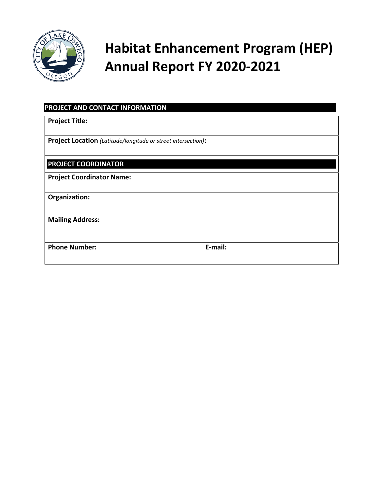

# **Habitat Enhancement Program (HEP) Annual Report FY 2020‐2021**

| PROJECT AND CONTACT INFORMATION                                      |         |
|----------------------------------------------------------------------|---------|
| <b>Project Title:</b>                                                |         |
| <b>Project Location</b> (Latitude/longitude or street intersection): |         |
| <b>PROJECT COORDINATOR</b>                                           |         |
| <b>Project Coordinator Name:</b>                                     |         |
| Organization:                                                        |         |
| <b>Mailing Address:</b>                                              |         |
| <b>Phone Number:</b>                                                 | E-mail: |
|                                                                      |         |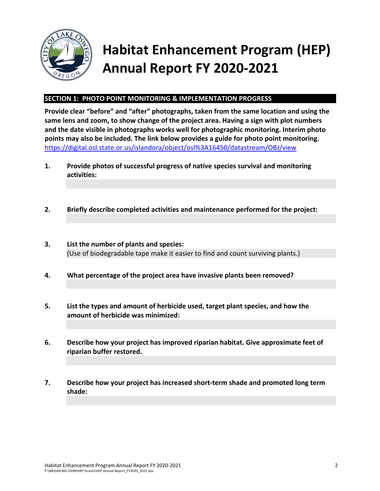

# **Habitat Enhancement Program (HEP) Annual Report FY 2020‐2021**

### **SECTION 1: PHOTO POINT MONITORING & IMPLEMENTATION PROGRESS**

**Provide clear "before" and "after" photographs, taken from the same location and using the same lens and zoom, to show change of the project area. Having a sign with plot numbers and the date visible in photographs works well for photographic monitoring. Interim photo points may also be included. The link below provides a guide for photo point monitoring.**  https://digital.osl.state.or.us/islandora/object/osl%3A16450/datastream/OBJ/view

- **1. Provide photos of successful progress of native species survival and monitoring activities:**
- **2. Briefly describe completed activities and maintenance performed for the project:**
- **3. List the number of plants and species:**  (Use of biodegradable tape make it easier to find and count surviving plants.)
- **4. What percentage of the project area have invasive plants been removed?**
- **5. List the types and amount of herbicide used, target plant species, and how the amount of herbicide was minimized:**
- **6. Describe how your project has improved riparian habitat. Give approximate feet of riparian buffer restored.**
- **7. Describe how your project has increased short‐term shade and promoted long term shade:**